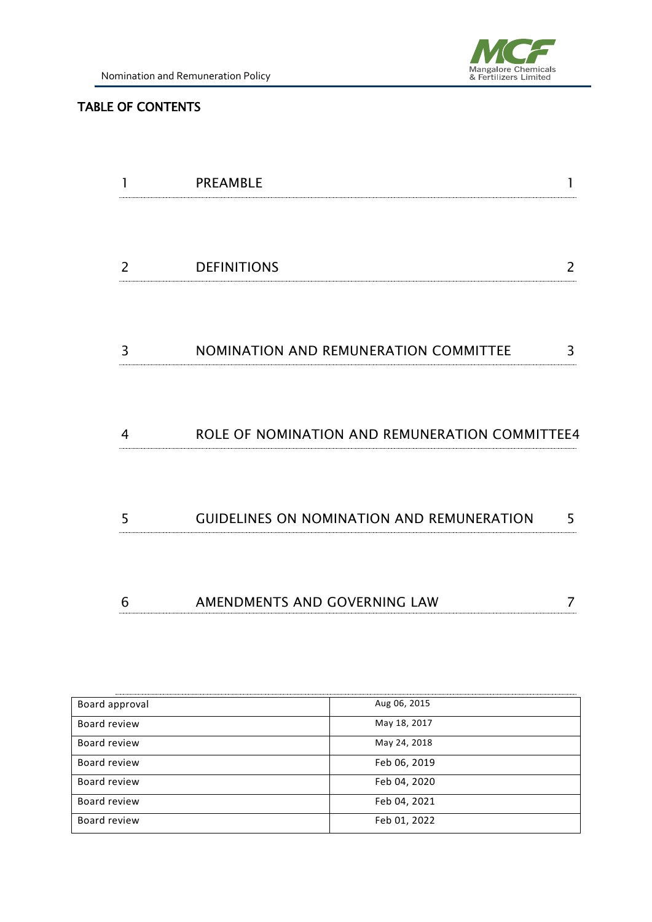

#### TABLE OF CONTENTS

|   | <b>PREAMBLE</b>                                  |   |
|---|--------------------------------------------------|---|
| 2 | <b>DEFINITIONS</b>                               | 2 |
| 3 | NOMINATION AND REMUNERATION COMMITTEE            | 3 |
| 4 | ROLE OF NOMINATION AND REMUNERATION COMMITTEE4   |   |
|   |                                                  |   |
| 5 | <b>GUIDELINES ON NOMINATION AND REMUNERATION</b> | 5 |

| Board approval | Aug 06, 2015 |
|----------------|--------------|
| Board review   | May 18, 2017 |
| Board review   | May 24, 2018 |
| Board review   | Feb 06, 2019 |
| Board review   | Feb 04, 2020 |
| Board review   | Feb 04, 2021 |
| Board review   | Feb 01, 2022 |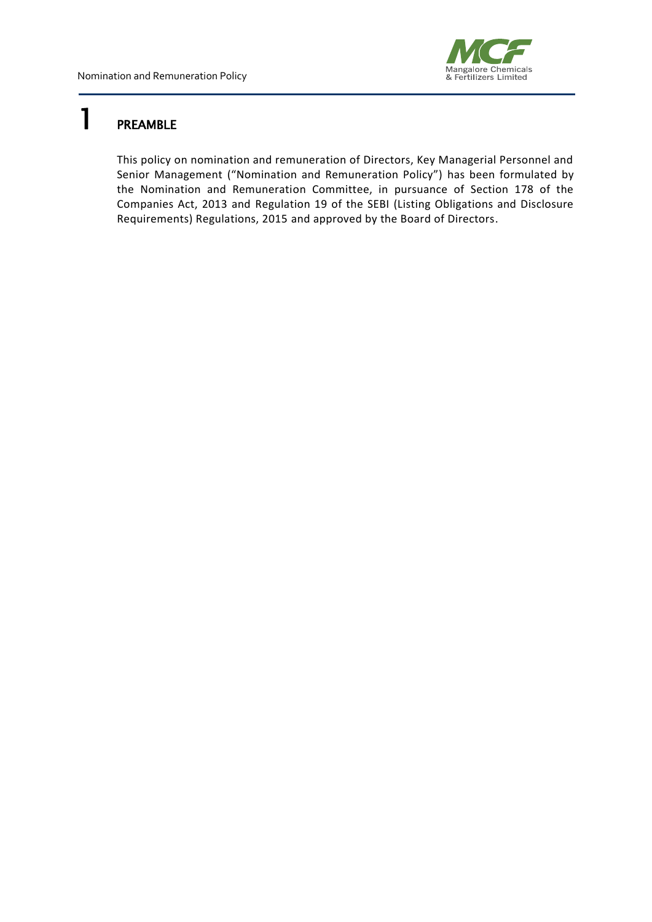

## <span id="page-1-0"></span>1 PREAMBLE

This policy on nomination and remuneration of Directors, Key Managerial Personnel and Senior Management ("Nomination and Remuneration Policy") has been formulated by the Nomination and Remuneration Committee, in pursuance of Section 178 of the Companies Act, 2013 and Regulation 19 of the SEBI (Listing Obligations and Disclosure Requirements) Regulations, 2015 and approved by the Board of Directors.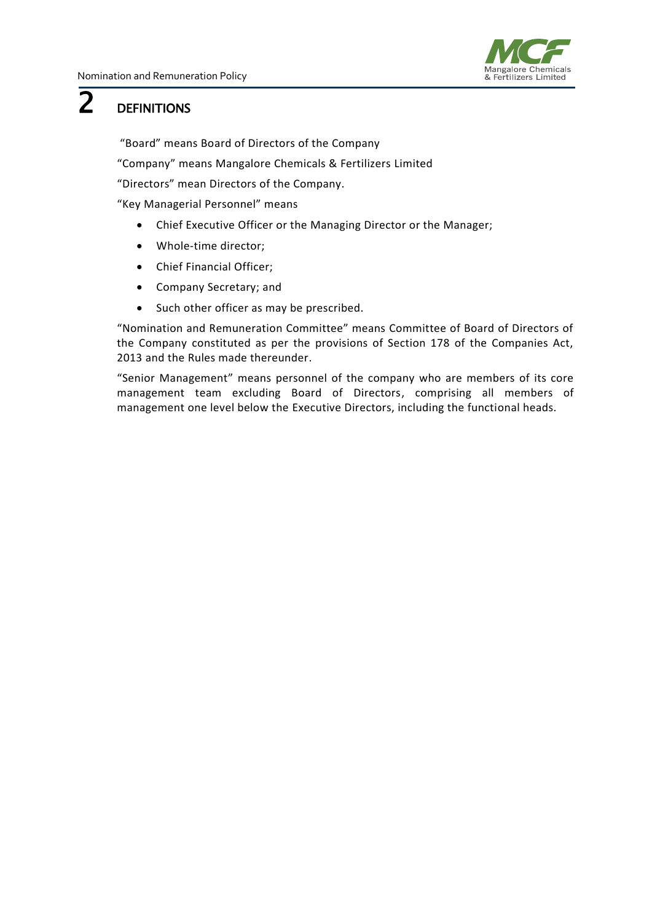

## <span id="page-2-0"></span>2 DEFINITIONS

"Board" means Board of Directors of the Company

"Company" means Mangalore Chemicals & Fertilizers Limited

"Directors" mean Directors of the Company.

"Key Managerial Personnel" means

- Chief Executive Officer or the Managing Director or the Manager;
- Whole-time director;
- Chief Financial Officer;
- Company Secretary; and
- Such other officer as may be prescribed.

"Nomination and Remuneration Committee" means Committee of Board of Directors of the Company constituted as per the provisions of Section 178 of the Companies Act, 2013 and the Rules made thereunder.

"Senior Management" means personnel of the company who are members of its core management team excluding Board of Directors, comprising all members of management one level below the Executive Directors, including the functional heads.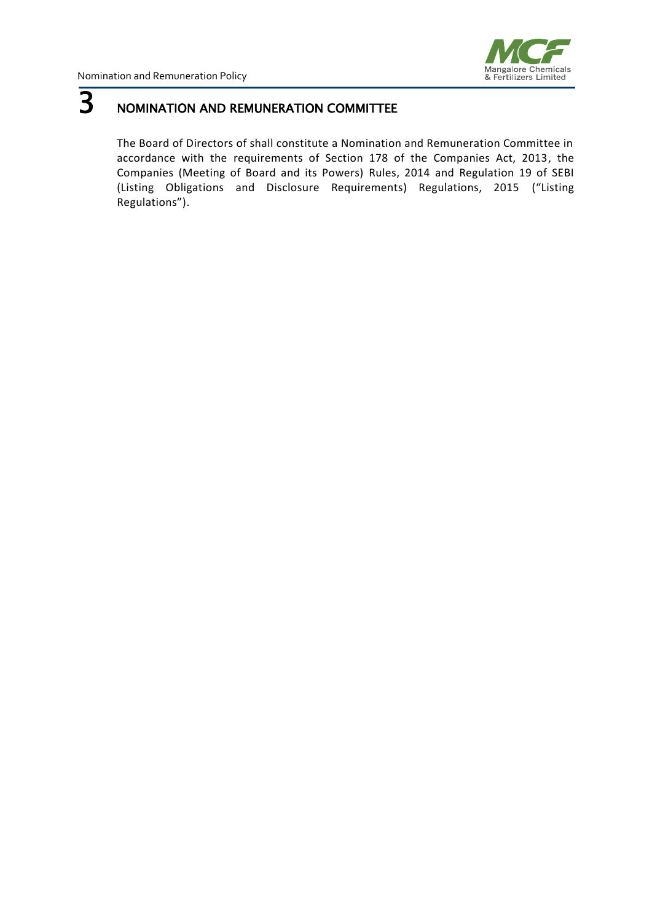

# <span id="page-3-0"></span>**3** NOMINATION AND REMUNERATION COMMITTEE

The Board of Directors of shall constitute a Nomination and Remuneration Committee in accordance with the requirements of Section 178 of the Companies Act, 2013, the Companies (Meeting of Board and its Powers) Rules, 2014 and Regulation 19 of SEBI (Listing Obligations and Disclosure Requirements) Regulations, 2015 ("Listing Regulations").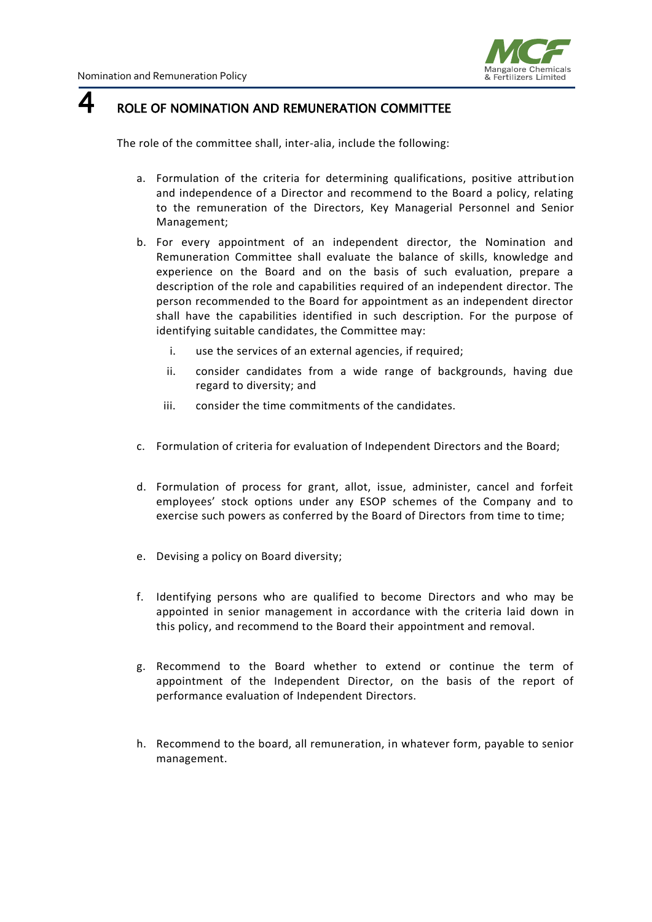

### <span id="page-4-0"></span> $4<sub>ROLE OF NOMINATION AND REMUNERATION COMITTEE</sub>$

The role of the committee shall, inter-alia, include the following:

- a. Formulation of the criteria for determining qualifications, positive attribution and independence of a Director and recommend to the Board a policy, relating to the remuneration of the Directors, Key Managerial Personnel and Senior Management;
- b. For every appointment of an independent director, the Nomination and Remuneration Committee shall evaluate the balance of skills, knowledge and experience on the Board and on the basis of such evaluation, prepare a description of the role and capabilities required of an independent director. The person recommended to the Board for appointment as an independent director shall have the capabilities identified in such description. For the purpose of identifying suitable candidates, the Committee may:
	- i. use the services of an external agencies, if required;
	- ii. consider candidates from a wide range of backgrounds, having due regard to diversity; and
	- iii. consider the time commitments of the candidates.
- c. Formulation of criteria for evaluation of Independent Directors and the Board;
- d. Formulation of process for grant, allot, issue, administer, cancel and forfeit employees' stock options under any ESOP schemes of the Company and to exercise such powers as conferred by the Board of Directors from time to time;
- e. Devising a policy on Board diversity;
- f. Identifying persons who are qualified to become Directors and who may be appointed in senior management in accordance with the criteria laid down in this policy, and recommend to the Board their appointment and removal.
- g. Recommend to the Board whether to extend or continue the term of appointment of the Independent Director, on the basis of the report of performance evaluation of Independent Directors.
- h. Recommend to the board, all remuneration, in whatever form, payable to senior management.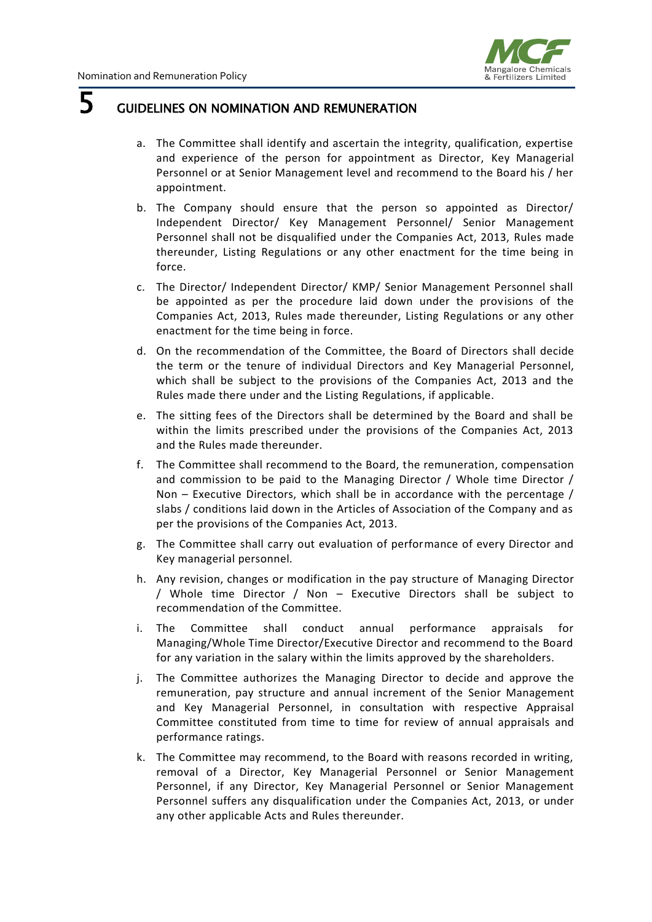

## <span id="page-5-0"></span>**5** GUIDELINES ON NOMINATION AND REMUNERATION

- a. The Committee shall identify and ascertain the integrity, qualification, expertise and experience of the person for appointment as Director, Key Managerial Personnel or at Senior Management level and recommend to the Board his / her appointment.
- b. The Company should ensure that the person so appointed as Director/ Independent Director/ Key Management Personnel/ Senior Management Personnel shall not be disqualified under the Companies Act, 2013, Rules made thereunder, Listing Regulations or any other enactment for the time being in force.
- c. The Director/ Independent Director/ KMP/ Senior Management Personnel shall be appointed as per the procedure laid down under the provisions of the Companies Act, 2013, Rules made thereunder, Listing Regulations or any other enactment for the time being in force.
- d. On the recommendation of the Committee, the Board of Directors shall decide the term or the tenure of individual Directors and Key Managerial Personnel, which shall be subject to the provisions of the Companies Act, 2013 and the Rules made there under and the Listing Regulations, if applicable.
- e. The sitting fees of the Directors shall be determined by the Board and shall be within the limits prescribed under the provisions of the Companies Act, 2013 and the Rules made thereunder.
- f. The Committee shall recommend to the Board, the remuneration, compensation and commission to be paid to the Managing Director / Whole time Director / Non – Executive Directors, which shall be in accordance with the percentage / slabs / conditions laid down in the Articles of Association of the Company and as per the provisions of the Companies Act, 2013.
- g. The Committee shall carry out evaluation of performance of every Director and Key managerial personnel.
- h. Any revision, changes or modification in the pay structure of Managing Director / Whole time Director / Non – Executive Directors shall be subject to recommendation of the Committee.
- i. The Committee shall conduct annual performance appraisals for Managing/Whole Time Director/Executive Director and recommend to the Board for any variation in the salary within the limits approved by the shareholders.
- j. The Committee authorizes the Managing Director to decide and approve the remuneration, pay structure and annual increment of the Senior Management and Key Managerial Personnel, in consultation with respective Appraisal Committee constituted from time to time for review of annual appraisals and performance ratings.
- k. The Committee may recommend, to the Board with reasons recorded in writing, removal of a Director, Key Managerial Personnel or Senior Management Personnel, if any Director, Key Managerial Personnel or Senior Management Personnel suffers any disqualification under the Companies Act, 2013, or under any other applicable Acts and Rules thereunder.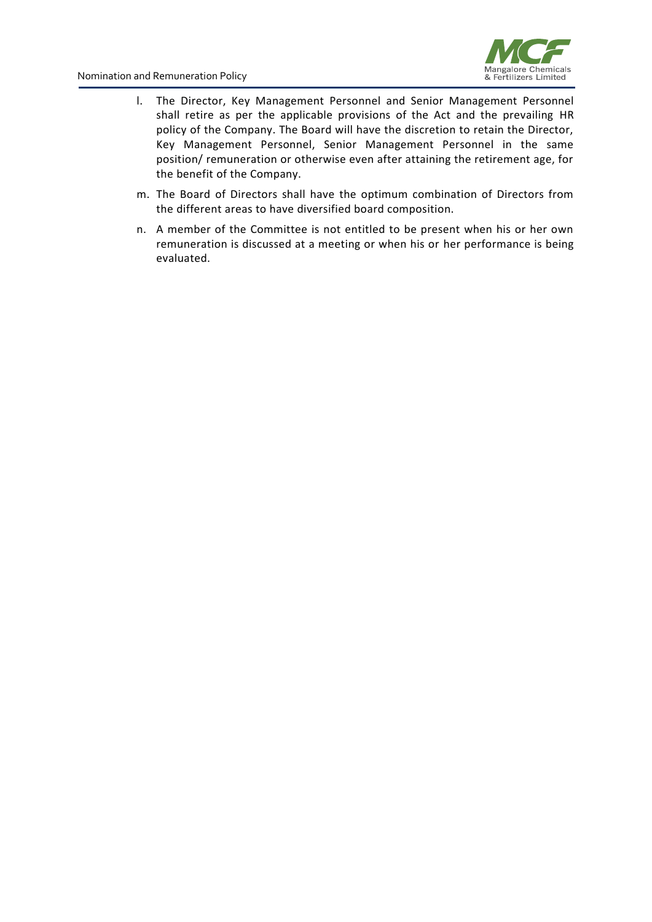

- l. The Director, Key Management Personnel and Senior Management Personnel shall retire as per the applicable provisions of the Act and the prevailing HR policy of the Company. The Board will have the discretion to retain the Director, Key Management Personnel, Senior Management Personnel in the same position/ remuneration or otherwise even after attaining the retirement age, for the benefit of the Company.
- m. The Board of Directors shall have the optimum combination of Directors from the different areas to have diversified board composition.
- n. A member of the Committee is not entitled to be present when his or her own remuneration is discussed at a meeting or when his or her performance is being evaluated.